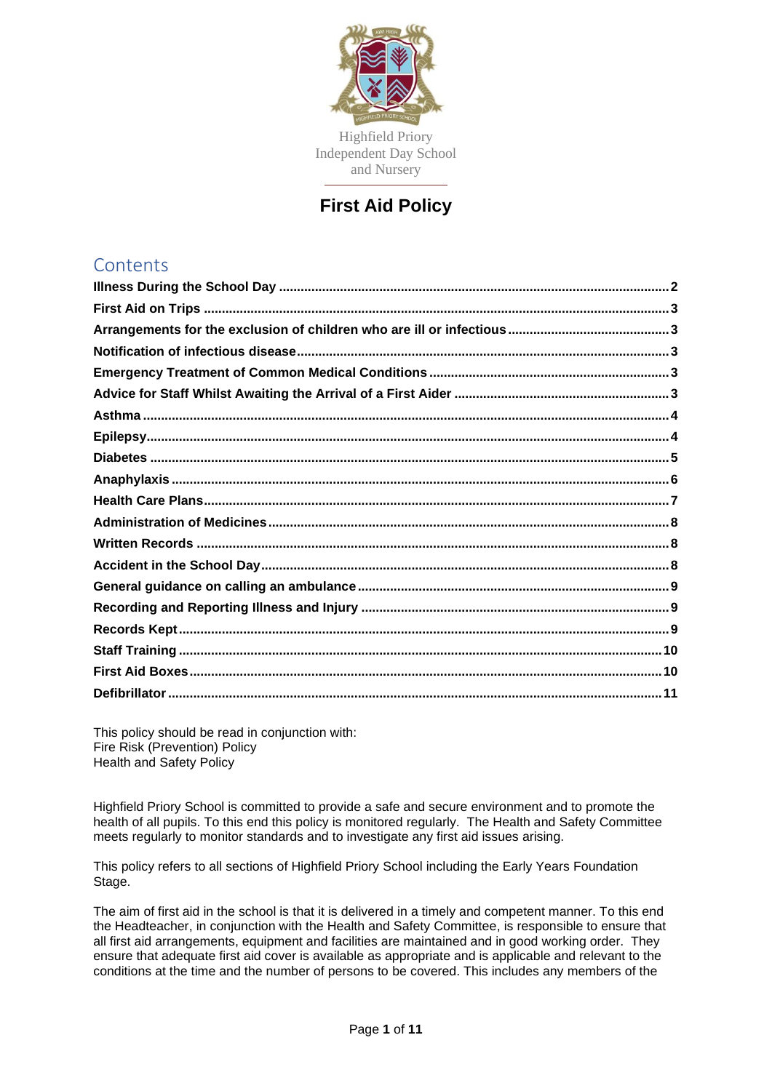

Highfield Priory Independent Day School and Nursery

**First Aid Policy**

# **Contents**

This policy should be read in conjunction with: Fire Risk (Prevention) Policy Health and Safety Policy

Highfield Priory School is committed to provide a safe and secure environment and to promote the health of all pupils. To this end this policy is monitored regularly. The Health and Safety Committee meets regularly to monitor standards and to investigate any first aid issues arising.

This policy refers to all sections of Highfield Priory School including the Early Years Foundation Stage.

The aim of first aid in the school is that it is delivered in a timely and competent manner. To this end the Headteacher, in conjunction with the Health and Safety Committee, is responsible to ensure that all first aid arrangements, equipment and facilities are maintained and in good working order. They ensure that adequate first aid cover is available as appropriate and is applicable and relevant to the conditions at the time and the number of persons to be covered. This includes any members of the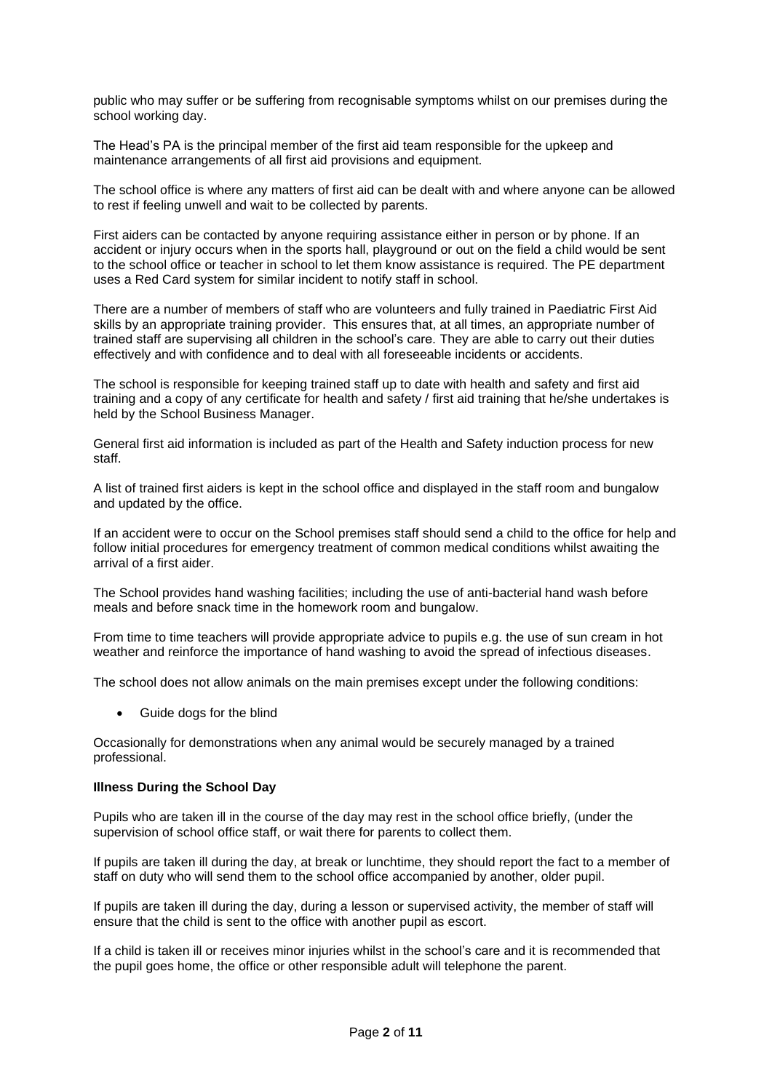public who may suffer or be suffering from recognisable symptoms whilst on our premises during the school working day.

The Head's PA is the principal member of the first aid team responsible for the upkeep and maintenance arrangements of all first aid provisions and equipment.

The school office is where any matters of first aid can be dealt with and where anyone can be allowed to rest if feeling unwell and wait to be collected by parents.

First aiders can be contacted by anyone requiring assistance either in person or by phone. If an accident or injury occurs when in the sports hall, playground or out on the field a child would be sent to the school office or teacher in school to let them know assistance is required. The PE department uses a Red Card system for similar incident to notify staff in school.

There are a number of members of staff who are volunteers and fully trained in Paediatric First Aid skills by an appropriate training provider. This ensures that, at all times, an appropriate number of trained staff are supervising all children in the school's care. They are able to carry out their duties effectively and with confidence and to deal with all foreseeable incidents or accidents.

The school is responsible for keeping trained staff up to date with health and safety and first aid training and a copy of any certificate for health and safety / first aid training that he/she undertakes is held by the School Business Manager.

General first aid information is included as part of the Health and Safety induction process for new staff.

A list of trained first aiders is kept in the school office and displayed in the staff room and bungalow and updated by the office.

If an accident were to occur on the School premises staff should send a child to the office for help and follow initial procedures for emergency treatment of common medical conditions whilst awaiting the arrival of a first aider.

The School provides hand washing facilities; including the use of anti-bacterial hand wash before meals and before snack time in the homework room and bungalow.

From time to time teachers will provide appropriate advice to pupils e.g. the use of sun cream in hot weather and reinforce the importance of hand washing to avoid the spread of infectious diseases.

The school does not allow animals on the main premises except under the following conditions:

• Guide dogs for the blind

Occasionally for demonstrations when any animal would be securely managed by a trained professional.

# <span id="page-1-0"></span>**Illness During the School Day**

Pupils who are taken ill in the course of the day may rest in the school office briefly, (under the supervision of school office staff, or wait there for parents to collect them.

If pupils are taken ill during the day, at break or lunchtime, they should report the fact to a member of staff on duty who will send them to the school office accompanied by another, older pupil.

If pupils are taken ill during the day, during a lesson or supervised activity, the member of staff will ensure that the child is sent to the office with another pupil as escort.

If a child is taken ill or receives minor injuries whilst in the school's care and it is recommended that the pupil goes home, the office or other responsible adult will telephone the parent.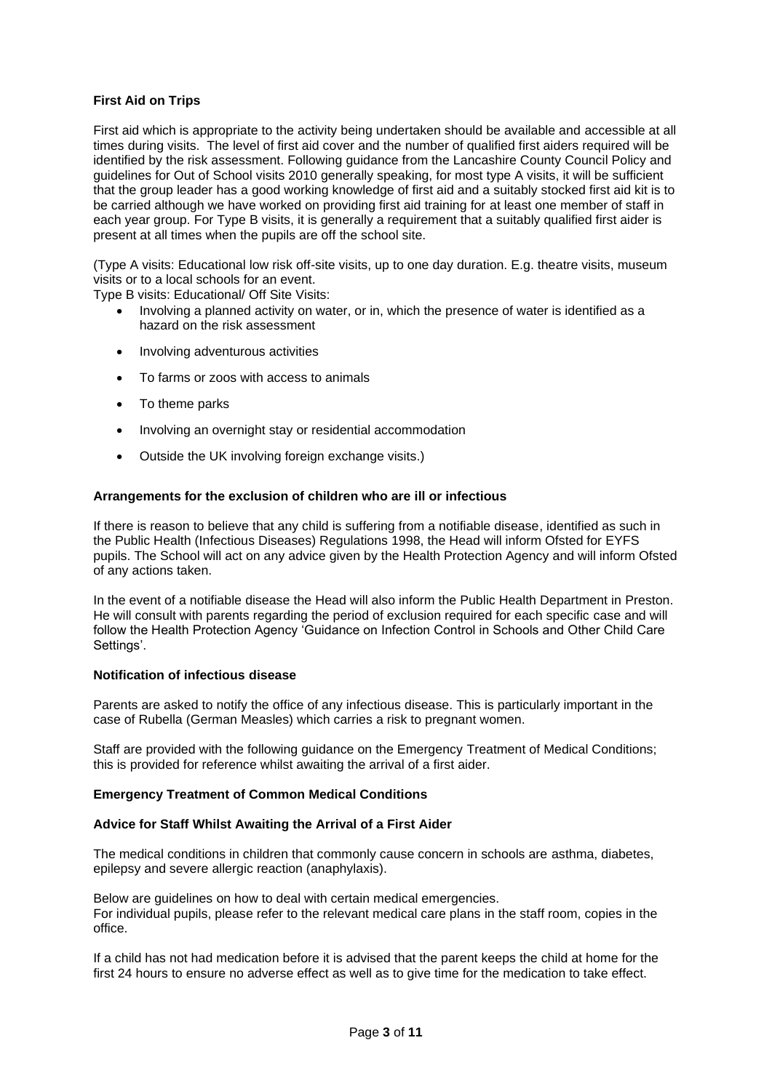# <span id="page-2-0"></span>**First Aid on Trips**

First aid which is appropriate to the activity being undertaken should be available and accessible at all times during visits. The level of first aid cover and the number of qualified first aiders required will be identified by the risk assessment. Following guidance from the Lancashire County Council Policy and guidelines for Out of School visits 2010 generally speaking, for most type A visits, it will be sufficient that the group leader has a good working knowledge of first aid and a suitably stocked first aid kit is to be carried although we have worked on providing first aid training for at least one member of staff in each year group. For Type B visits, it is generally a requirement that a suitably qualified first aider is present at all times when the pupils are off the school site.

(Type A visits: Educational low risk off-site visits, up to one day duration. E.g. theatre visits, museum visits or to a local schools for an event.

Type B visits: Educational/ Off Site Visits:

- Involving a planned activity on water, or in, which the presence of water is identified as a hazard on the risk assessment
- Involving adventurous activities
- To farms or zoos with access to animals
- To theme parks
- Involving an overnight stay or residential accommodation
- Outside the UK involving foreign exchange visits.)

# <span id="page-2-1"></span>**Arrangements for the exclusion of children who are ill or infectious**

If there is reason to believe that any child is suffering from a notifiable disease, identified as such in the Public Health (Infectious Diseases) Regulations 1998, the Head will inform Ofsted for EYFS pupils. The School will act on any advice given by the Health Protection Agency and will inform Ofsted of any actions taken.

In the event of a notifiable disease the Head will also inform the Public Health Department in Preston. He will consult with parents regarding the period of exclusion required for each specific case and will follow the Health Protection Agency 'Guidance on Infection Control in Schools and Other Child Care Settings'.

# <span id="page-2-2"></span>**Notification of infectious disease**

Parents are asked to notify the office of any infectious disease. This is particularly important in the case of Rubella (German Measles) which carries a risk to pregnant women.

Staff are provided with the following guidance on the Emergency Treatment of Medical Conditions; this is provided for reference whilst awaiting the arrival of a first aider.

# <span id="page-2-3"></span>**Emergency Treatment of Common Medical Conditions**

# <span id="page-2-4"></span>**Advice for Staff Whilst Awaiting the Arrival of a First Aider**

The medical conditions in children that commonly cause concern in schools are asthma, diabetes, epilepsy and severe allergic reaction (anaphylaxis).

Below are guidelines on how to deal with certain medical emergencies. For individual pupils, please refer to the relevant medical care plans in the staff room, copies in the office.

If a child has not had medication before it is advised that the parent keeps the child at home for the first 24 hours to ensure no adverse effect as well as to give time for the medication to take effect.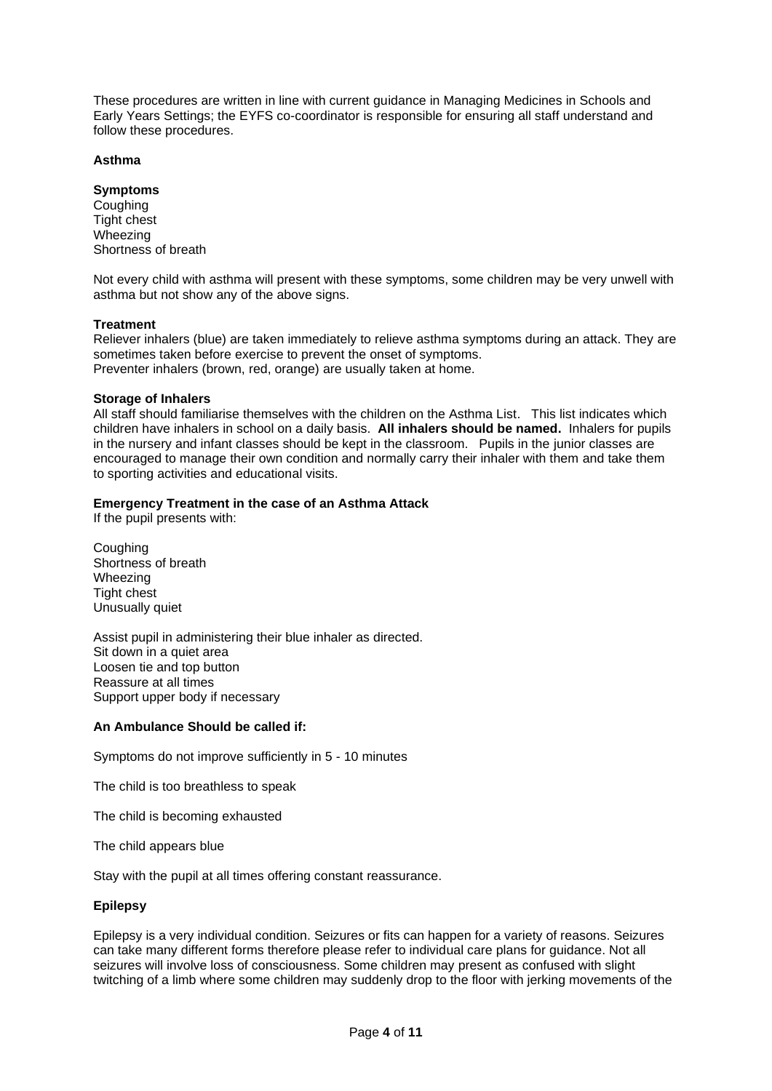These procedures are written in line with current guidance in Managing Medicines in Schools and Early Years Settings; the EYFS co-coordinator is responsible for ensuring all staff understand and follow these procedures.

# <span id="page-3-0"></span>**Asthma**

# **Symptoms**

Coughing Tight chest Wheezing Shortness of breath

Not every child with asthma will present with these symptoms, some children may be very unwell with asthma but not show any of the above signs.

# **Treatment**

Reliever inhalers (blue) are taken immediately to relieve asthma symptoms during an attack. They are sometimes taken before exercise to prevent the onset of symptoms. Preventer inhalers (brown, red, orange) are usually taken at home.

# **Storage of Inhalers**

All staff should familiarise themselves with the children on the Asthma List. This list indicates which children have inhalers in school on a daily basis. **All inhalers should be named.** Inhalers for pupils in the nursery and infant classes should be kept in the classroom. Pupils in the junior classes are encouraged to manage their own condition and normally carry their inhaler with them and take them to sporting activities and educational visits.

# **Emergency Treatment in the case of an Asthma Attack**

If the pupil presents with:

**Coughing** Shortness of breath Wheezing Tight chest Unusually quiet

Assist pupil in administering their blue inhaler as directed. Sit down in a quiet area Loosen tie and top button Reassure at all times Support upper body if necessary

# **An Ambulance Should be called if:**

Symptoms do not improve sufficiently in 5 - 10 minutes

The child is too breathless to speak

The child is becoming exhausted

The child appears blue

Stay with the pupil at all times offering constant reassurance.

# <span id="page-3-1"></span>**Epilepsy**

Epilepsy is a very individual condition. Seizures or fits can happen for a variety of reasons. Seizures can take many different forms therefore please refer to individual care plans for guidance. Not all seizures will involve loss of consciousness. Some children may present as confused with slight twitching of a limb where some children may suddenly drop to the floor with jerking movements of the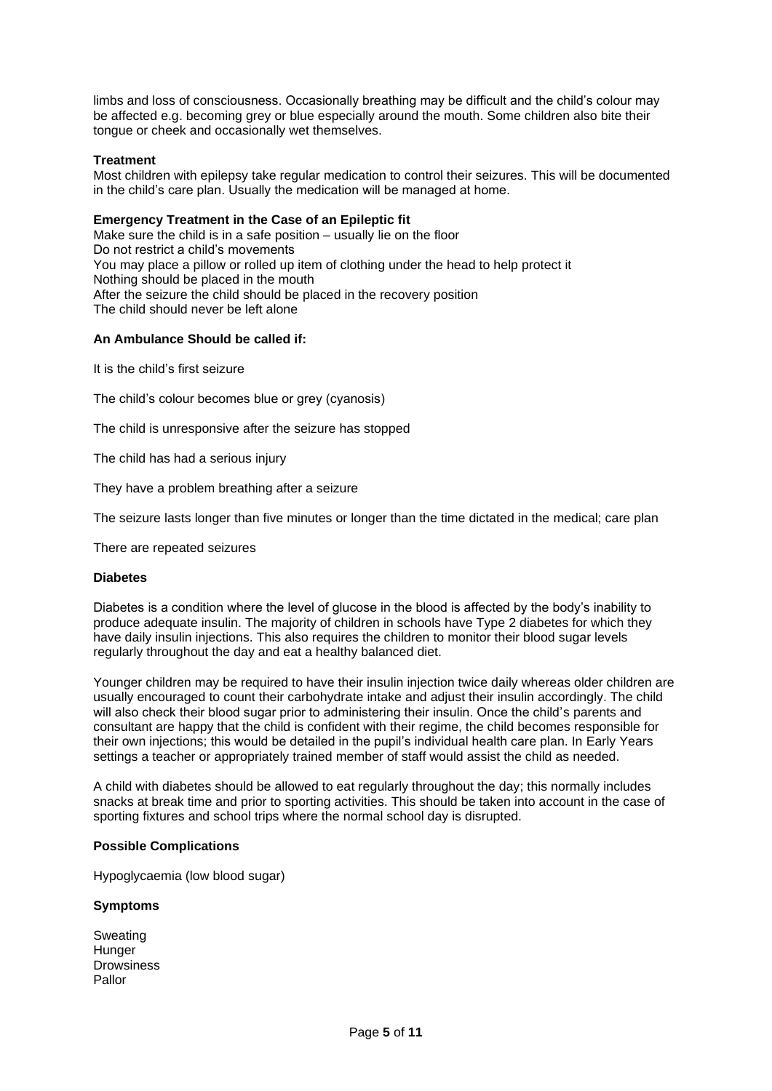limbs and loss of consciousness. Occasionally breathing may be difficult and the child's colour may be affected e.g. becoming grey or blue especially around the mouth. Some children also bite their tongue or cheek and occasionally wet themselves.

# **Treatment**

Most children with epilepsy take regular medication to control their seizures. This will be documented in the child's care plan. Usually the medication will be managed at home.

# **Emergency Treatment in the Case of an Epileptic fit**

Make sure the child is in a safe position – usually lie on the floor Do not restrict a child's movements You may place a pillow or rolled up item of clothing under the head to help protect it Nothing should be placed in the mouth After the seizure the child should be placed in the recovery position The child should never be left alone

# **An Ambulance Should be called if:**

It is the child's first seizure

The child's colour becomes blue or grey (cyanosis)

The child is unresponsive after the seizure has stopped

The child has had a serious injury

They have a problem breathing after a seizure

The seizure lasts longer than five minutes or longer than the time dictated in the medical; care plan

There are repeated seizures

# <span id="page-4-0"></span>**Diabetes**

Diabetes is a condition where the level of glucose in the blood is affected by the body's inability to produce adequate insulin. The majority of children in schools have Type 2 diabetes for which they have daily insulin injections. This also requires the children to monitor their blood sugar levels regularly throughout the day and eat a healthy balanced diet.

Younger children may be required to have their insulin injection twice daily whereas older children are usually encouraged to count their carbohydrate intake and adjust their insulin accordingly. The child will also check their blood sugar prior to administering their insulin. Once the child's parents and consultant are happy that the child is confident with their regime, the child becomes responsible for their own injections; this would be detailed in the pupil's individual health care plan. In Early Years settings a teacher or appropriately trained member of staff would assist the child as needed.

A child with diabetes should be allowed to eat regularly throughout the day; this normally includes snacks at break time and prior to sporting activities. This should be taken into account in the case of sporting fixtures and school trips where the normal school day is disrupted.

# **Possible Complications**

Hypoglycaemia (low blood sugar)

# **Symptoms**

Sweating **Hunger Drowsiness** Pallor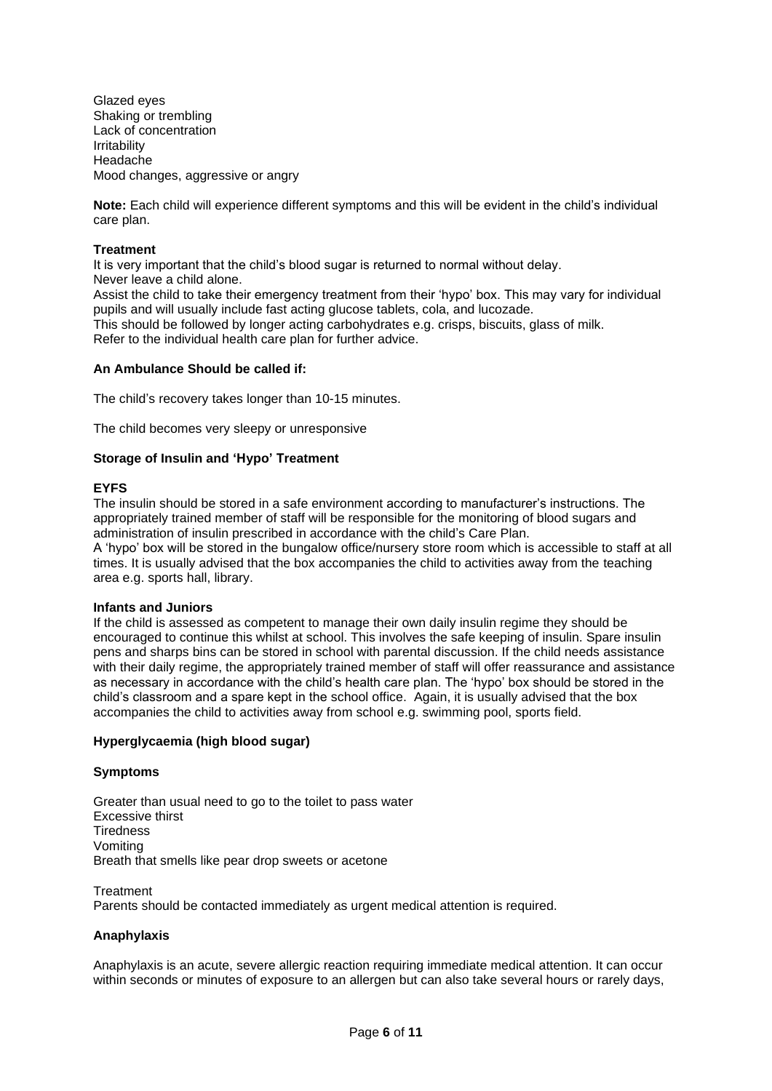Glazed eyes Shaking or trembling Lack of concentration Irritability Headache Mood changes, aggressive or angry

**Note:** Each child will experience different symptoms and this will be evident in the child's individual care plan.

# **Treatment**

It is very important that the child's blood sugar is returned to normal without delay. Never leave a child alone. Assist the child to take their emergency treatment from their 'hypo' box. This may vary for individual

pupils and will usually include fast acting glucose tablets, cola, and lucozade.

This should be followed by longer acting carbohydrates e.g. crisps, biscuits, glass of milk. Refer to the individual health care plan for further advice.

#### **An Ambulance Should be called if:**

The child's recovery takes longer than 10-15 minutes.

The child becomes very sleepy or unresponsive

# **Storage of Insulin and 'Hypo' Treatment**

# **EYFS**

The insulin should be stored in a safe environment according to manufacturer's instructions. The appropriately trained member of staff will be responsible for the monitoring of blood sugars and administration of insulin prescribed in accordance with the child's Care Plan.

A 'hypo' box will be stored in the bungalow office/nursery store room which is accessible to staff at all times. It is usually advised that the box accompanies the child to activities away from the teaching area e.g. sports hall, library.

#### **Infants and Juniors**

If the child is assessed as competent to manage their own daily insulin regime they should be encouraged to continue this whilst at school. This involves the safe keeping of insulin. Spare insulin pens and sharps bins can be stored in school with parental discussion. If the child needs assistance with their daily regime, the appropriately trained member of staff will offer reassurance and assistance as necessary in accordance with the child's health care plan. The 'hypo' box should be stored in the child's classroom and a spare kept in the school office. Again, it is usually advised that the box accompanies the child to activities away from school e.g. swimming pool, sports field.

# **Hyperglycaemia (high blood sugar)**

#### **Symptoms**

Greater than usual need to go to the toilet to pass water Excessive thirst **Tiredness** Vomiting Breath that smells like pear drop sweets or acetone

**Treatment** Parents should be contacted immediately as urgent medical attention is required.

# <span id="page-5-0"></span>**Anaphylaxis**

Anaphylaxis is an acute, severe allergic reaction requiring immediate medical attention. It can occur within seconds or minutes of exposure to an allergen but can also take several hours or rarely days,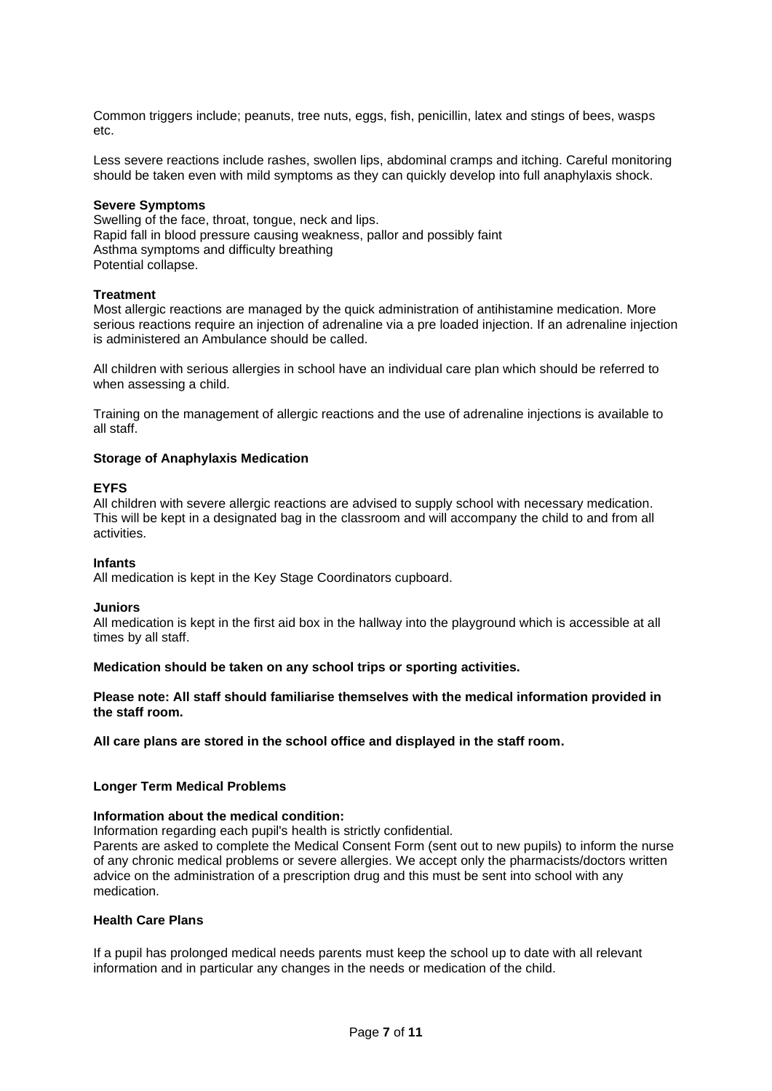Common triggers include; peanuts, tree nuts, eggs, fish, penicillin, latex and stings of bees, wasps etc.

Less severe reactions include rashes, swollen lips, abdominal cramps and itching. Careful monitoring should be taken even with mild symptoms as they can quickly develop into full anaphylaxis shock.

#### **Severe Symptoms**

Swelling of the face, throat, tongue, neck and lips. Rapid fall in blood pressure causing weakness, pallor and possibly faint Asthma symptoms and difficulty breathing Potential collapse.

#### **Treatment**

Most allergic reactions are managed by the quick administration of antihistamine medication. More serious reactions require an injection of adrenaline via a pre loaded injection. If an adrenaline injection is administered an Ambulance should be called.

All children with serious allergies in school have an individual care plan which should be referred to when assessing a child.

Training on the management of allergic reactions and the use of adrenaline injections is available to all staff.

# **Storage of Anaphylaxis Medication**

#### **EYFS**

All children with severe allergic reactions are advised to supply school with necessary medication. This will be kept in a designated bag in the classroom and will accompany the child to and from all activities.

#### **Infants**

All medication is kept in the Key Stage Coordinators cupboard.

#### **Juniors**

All medication is kept in the first aid box in the hallway into the playground which is accessible at all times by all staff.

# **Medication should be taken on any school trips or sporting activities.**

# **Please note: All staff should familiarise themselves with the medical information provided in the staff room.**

**All care plans are stored in the school office and displayed in the staff room.**

# **Longer Term Medical Problems**

# **Information about the medical condition:**

Information regarding each pupil's health is strictly confidential.

Parents are asked to complete the Medical Consent Form (sent out to new pupils) to inform the nurse of any chronic medical problems or severe allergies. We accept only the pharmacists/doctors written advice on the administration of a prescription drug and this must be sent into school with any medication.

#### <span id="page-6-0"></span>**Health Care Plans**

If a pupil has prolonged medical needs parents must keep the school up to date with all relevant information and in particular any changes in the needs or medication of the child.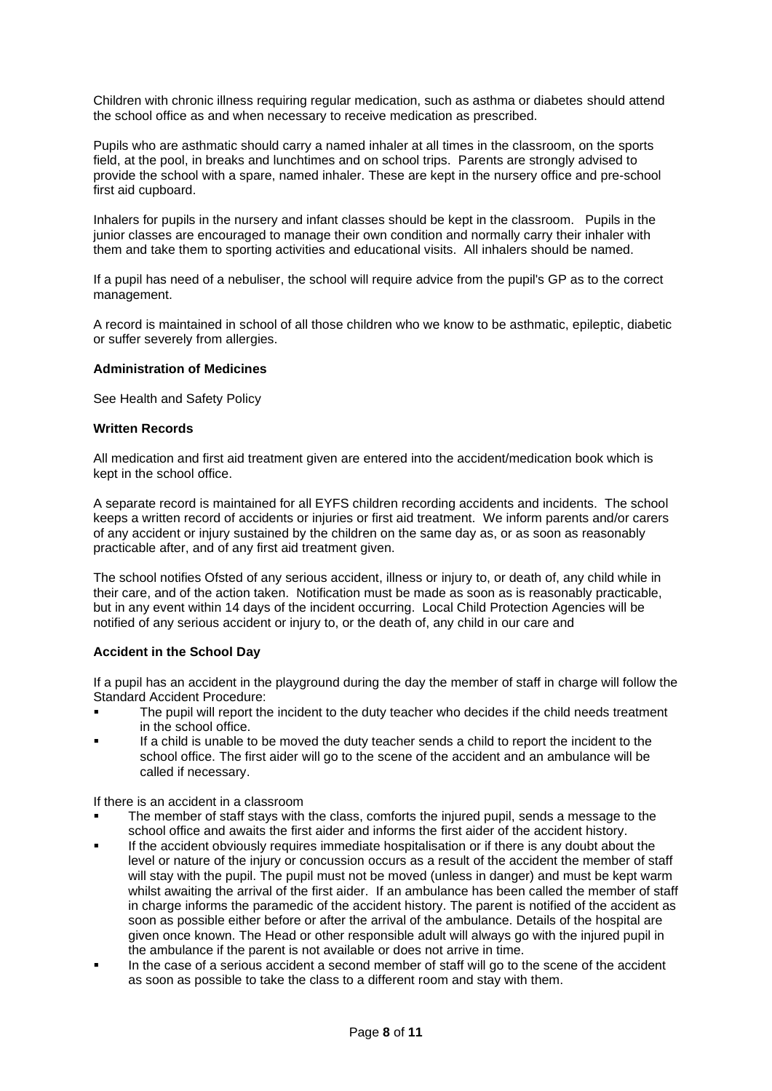Children with chronic illness requiring regular medication, such as asthma or diabetes should attend the school office as and when necessary to receive medication as prescribed.

Pupils who are asthmatic should carry a named inhaler at all times in the classroom, on the sports field, at the pool, in breaks and lunchtimes and on school trips. Parents are strongly advised to provide the school with a spare, named inhaler. These are kept in the nursery office and pre-school first aid cupboard.

Inhalers for pupils in the nursery and infant classes should be kept in the classroom. Pupils in the junior classes are encouraged to manage their own condition and normally carry their inhaler with them and take them to sporting activities and educational visits. All inhalers should be named.

If a pupil has need of a nebuliser, the school will require advice from the pupil's GP as to the correct management.

A record is maintained in school of all those children who we know to be asthmatic, epileptic, diabetic or suffer severely from allergies.

# <span id="page-7-0"></span>**Administration of Medicines**

See Health and Safety Policy

# <span id="page-7-1"></span>**Written Records**

All medication and first aid treatment given are entered into the accident/medication book which is kept in the school office.

A separate record is maintained for all EYFS children recording accidents and incidents. The school keeps a written record of accidents or injuries or first aid treatment. We inform parents and/or carers of any accident or injury sustained by the children on the same day as, or as soon as reasonably practicable after, and of any first aid treatment given.

The school notifies Ofsted of any serious accident, illness or injury to, or death of, any child while in their care, and of the action taken. Notification must be made as soon as is reasonably practicable, but in any event within 14 days of the incident occurring. Local Child Protection Agencies will be notified of any serious accident or injury to, or the death of, any child in our care and

# <span id="page-7-2"></span>**Accident in the School Day**

If a pupil has an accident in the playground during the day the member of staff in charge will follow the Standard Accident Procedure:

- The pupil will report the incident to the duty teacher who decides if the child needs treatment in the school office.
- If a child is unable to be moved the duty teacher sends a child to report the incident to the school office. The first aider will go to the scene of the accident and an ambulance will be called if necessary.

If there is an accident in a classroom

- The member of staff stays with the class, comforts the injured pupil, sends a message to the school office and awaits the first aider and informs the first aider of the accident history.
- If the accident obviously requires immediate hospitalisation or if there is any doubt about the level or nature of the injury or concussion occurs as a result of the accident the member of staff will stay with the pupil. The pupil must not be moved (unless in danger) and must be kept warm whilst awaiting the arrival of the first aider. If an ambulance has been called the member of staff in charge informs the paramedic of the accident history. The parent is notified of the accident as soon as possible either before or after the arrival of the ambulance. Details of the hospital are given once known. The Head or other responsible adult will always go with the injured pupil in the ambulance if the parent is not available or does not arrive in time.
- In the case of a serious accident a second member of staff will go to the scene of the accident as soon as possible to take the class to a different room and stay with them.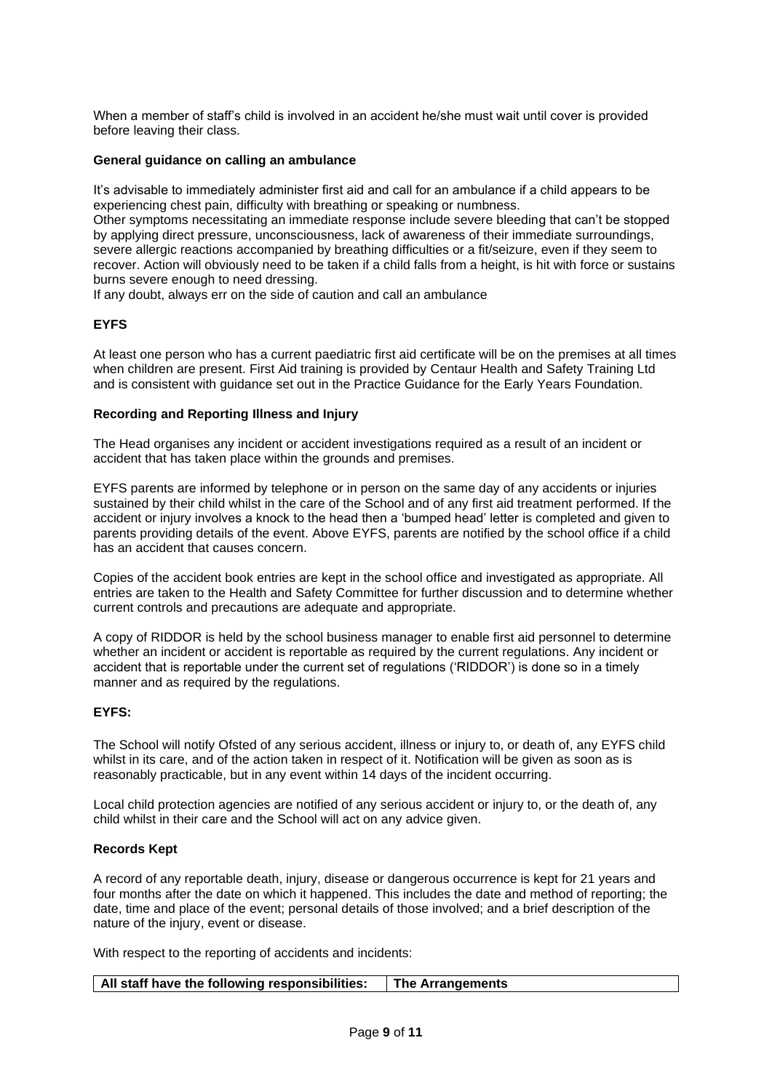When a member of staff's child is involved in an accident he/she must wait until cover is provided before leaving their class.

# <span id="page-8-0"></span>**General guidance on calling an ambulance**

It's advisable to immediately administer first aid and call for an ambulance if a child appears to be experiencing chest pain, difficulty with breathing or speaking or numbness.

Other symptoms necessitating an immediate response include severe bleeding that can't be stopped by applying direct pressure, unconsciousness, lack of awareness of their immediate surroundings, severe allergic reactions accompanied by breathing difficulties or a fit/seizure, even if they seem to recover. Action will obviously need to be taken if a child falls from a height, is hit with force or sustains burns severe enough to need dressing.

If any doubt, always err on the side of caution and call an ambulance

# **EYFS**

At least one person who has a current paediatric first aid certificate will be on the premises at all times when children are present. First Aid training is provided by Centaur Health and Safety Training Ltd and is consistent with guidance set out in the Practice Guidance for the Early Years Foundation.

# <span id="page-8-1"></span>**Recording and Reporting Illness and Injury**

The Head organises any incident or accident investigations required as a result of an incident or accident that has taken place within the grounds and premises.

EYFS parents are informed by telephone or in person on the same day of any accidents or injuries sustained by their child whilst in the care of the School and of any first aid treatment performed. If the accident or injury involves a knock to the head then a 'bumped head' letter is completed and given to parents providing details of the event. Above EYFS, parents are notified by the school office if a child has an accident that causes concern.

Copies of the accident book entries are kept in the school office and investigated as appropriate. All entries are taken to the Health and Safety Committee for further discussion and to determine whether current controls and precautions are adequate and appropriate.

A copy of RIDDOR is held by the school business manager to enable first aid personnel to determine whether an incident or accident is reportable as required by the current regulations. Any incident or accident that is reportable under the current set of regulations ('RIDDOR') is done so in a timely manner and as required by the regulations.

# **EYFS:**

The School will notify Ofsted of any serious accident, illness or injury to, or death of, any EYFS child whilst in its care, and of the action taken in respect of it. Notification will be given as soon as is reasonably practicable, but in any event within 14 days of the incident occurring.

Local child protection agencies are notified of any serious accident or injury to, or the death of, any child whilst in their care and the School will act on any advice given.

# <span id="page-8-2"></span>**Records Kept**

A record of any reportable death, injury, disease or dangerous occurrence is kept for 21 years and four months after the date on which it happened. This includes the date and method of reporting; the date, time and place of the event; personal details of those involved; and a brief description of the nature of the injury, event or disease.

With respect to the reporting of accidents and incidents:

| All staff have the following responsibilities: | The Arrangements |  |
|------------------------------------------------|------------------|--|
|                                                |                  |  |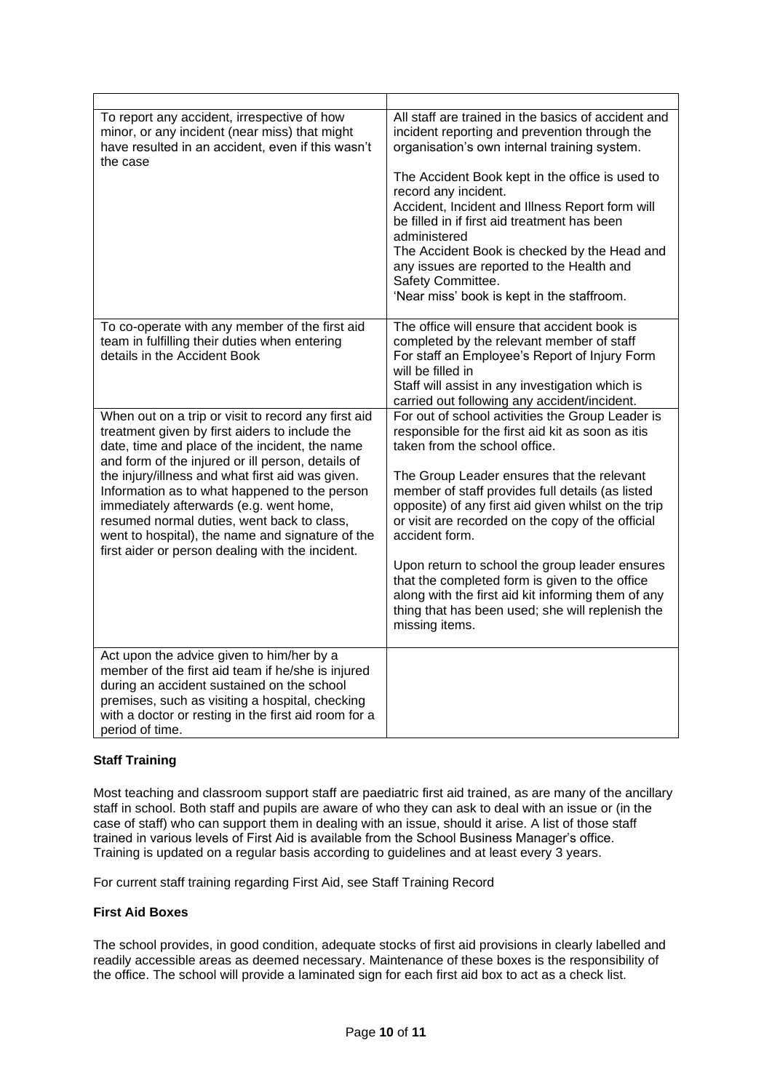| To report any accident, irrespective of how<br>minor, or any incident (near miss) that might<br>have resulted in an accident, even if this wasn't<br>the case                                                                                                                                                                                                                                                                                                                                                      | All staff are trained in the basics of accident and<br>incident reporting and prevention through the<br>organisation's own internal training system.<br>The Accident Book kept in the office is used to<br>record any incident.<br>Accident, Incident and Illness Report form will<br>be filled in if first aid treatment has been<br>administered<br>The Accident Book is checked by the Head and<br>any issues are reported to the Health and<br>Safety Committee.<br>'Near miss' book is kept in the staffroom.                                                                                     |
|--------------------------------------------------------------------------------------------------------------------------------------------------------------------------------------------------------------------------------------------------------------------------------------------------------------------------------------------------------------------------------------------------------------------------------------------------------------------------------------------------------------------|--------------------------------------------------------------------------------------------------------------------------------------------------------------------------------------------------------------------------------------------------------------------------------------------------------------------------------------------------------------------------------------------------------------------------------------------------------------------------------------------------------------------------------------------------------------------------------------------------------|
| To co-operate with any member of the first aid<br>team in fulfilling their duties when entering<br>details in the Accident Book                                                                                                                                                                                                                                                                                                                                                                                    | The office will ensure that accident book is<br>completed by the relevant member of staff<br>For staff an Employee's Report of Injury Form<br>will be filled in<br>Staff will assist in any investigation which is<br>carried out following any accident/incident.                                                                                                                                                                                                                                                                                                                                     |
| When out on a trip or visit to record any first aid<br>treatment given by first aiders to include the<br>date, time and place of the incident, the name<br>and form of the injured or ill person, details of<br>the injury/illness and what first aid was given.<br>Information as to what happened to the person<br>immediately afterwards (e.g. went home,<br>resumed normal duties, went back to class,<br>went to hospital), the name and signature of the<br>first aider or person dealing with the incident. | For out of school activities the Group Leader is<br>responsible for the first aid kit as soon as itis<br>taken from the school office.<br>The Group Leader ensures that the relevant<br>member of staff provides full details (as listed<br>opposite) of any first aid given whilst on the trip<br>or visit are recorded on the copy of the official<br>accident form.<br>Upon return to school the group leader ensures<br>that the completed form is given to the office<br>along with the first aid kit informing them of any<br>thing that has been used; she will replenish the<br>missing items. |
| Act upon the advice given to him/her by a<br>member of the first aid team if he/she is injured<br>during an accident sustained on the school<br>premises, such as visiting a hospital, checking<br>with a doctor or resting in the first aid room for a<br>period of time.                                                                                                                                                                                                                                         |                                                                                                                                                                                                                                                                                                                                                                                                                                                                                                                                                                                                        |

# <span id="page-9-0"></span>**Staff Training**

Most teaching and classroom support staff are paediatric first aid trained, as are many of the ancillary staff in school. Both staff and pupils are aware of who they can ask to deal with an issue or (in the case of staff) who can support them in dealing with an issue, should it arise. A list of those staff trained in various levels of First Aid is available from the School Business Manager's office. Training is updated on a regular basis according to guidelines and at least every 3 years.

For current staff training regarding First Aid, see Staff Training Record

# <span id="page-9-1"></span>**First Aid Boxes**

The school provides, in good condition, adequate stocks of first aid provisions in clearly labelled and readily accessible areas as deemed necessary. Maintenance of these boxes is the responsibility of the office. The school will provide a laminated sign for each first aid box to act as a check list.